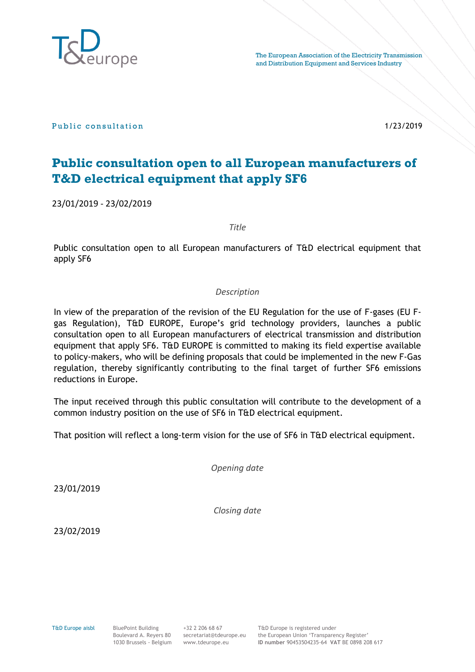

Public consultation and the consultation of the consultation of the consultation of the consultation of the consultation of the consultation of the consultation of the consultation of the consultation of the consultation o

# **Public consultation open to all European manufacturers of T&D electrical equipment that apply SF6**

23/01/2019 - 23/02/2019

*Title*

Public consultation open to all European manufacturers of T&D electrical equipment that apply SF6

### *Description*

In view of the preparation of the revision of the EU Regulation for the use of F-gases (EU Fgas Regulation), T&D EUROPE, Europe's grid technology providers, launches a public consultation open to all European manufacturers of electrical transmission and distribution equipment that apply SF6. T&D EUROPE is committed to making its field expertise available to policy-makers, who will be defining proposals that could be implemented in the new F-Gas regulation, thereby significantly contributing to the final target of further SF6 emissions reductions in Europe.

The input received through this public consultation will contribute to the development of a common industry position on the use of SF6 in T&D electrical equipment.

That position will reflect a long-term vision for the use of SF6 in T&D electrical equipment.

*Opening date*

23/01/2019

*Closing date*

23/02/2019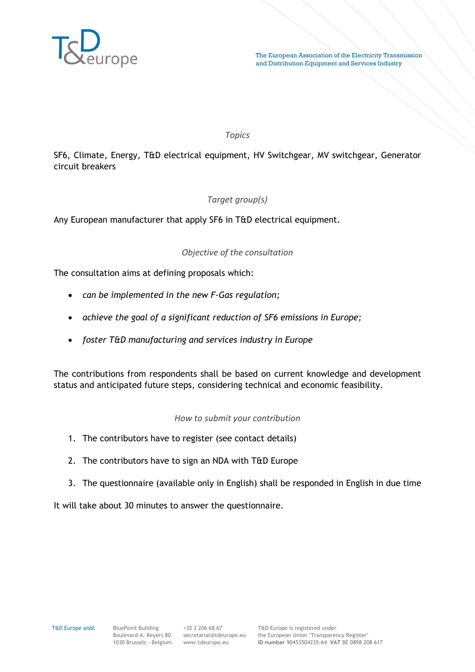

#### *Topics*

SF6, Climate, Energy, T&D electrical equipment, HV Switchgear, MV switchgear, Generator circuit breakers

## *Target group(s)*

Any European manufacturer that apply SF6 in T&D electrical equipment.

### *Objective of the consultation*

The consultation aims at defining proposals which:

- *can be implemented in the new F-Gas regulation;*
- *achieve the goal of a significant reduction of SF6 emissions in Europe;*
- *foster T&D manufacturing and services industry in Europe*

The contributions from respondents shall be based on current knowledge and development status and anticipated future steps, considering technical and economic feasibility.

### *How to submit your contribution*

- 1. The contributors have to register (see contact details)
- 2. The contributors have to sign an NDA with T&D Europe
- 3. The questionnaire (available only in English) shall be responded in English in due time

It will take about 30 minutes to answer the questionnaire.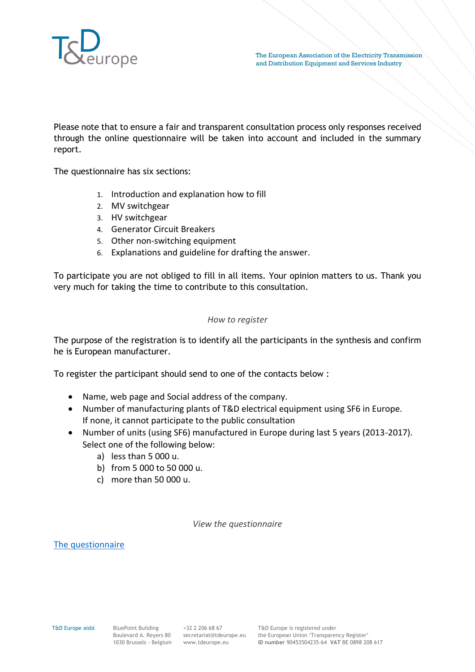

Please note that to ensure a fair and transparent consultation process only responses received through the online questionnaire will be taken into account and included in the summary report.

The questionnaire has six sections:

- 1. Introduction and explanation how to fill
- 2. MV switchgear
- 3. HV switchgear
- 4. Generator Circuit Breakers
- 5. Other non-switching equipment
- 6. Explanations and guideline for drafting the answer.

To participate you are not obliged to fill in all items. Your opinion matters to us. Thank you very much for taking the time to contribute to this consultation.

#### *How to register*

The purpose of the registration is to identify all the participants in the synthesis and confirm he is European manufacturer.

To register the participant should send to one of the contacts below :

- Name, web page and Social address of the company.
- Number of manufacturing plants of T&D electrical equipment using SF6 in Europe. If none, it cannot participate to the public consultation
- Number of units (using SF6) manufactured in Europe during last 5 years (2013-2017). Select one of the following below:
	- a) less than 5 000 u.
	- b) from 5 000 to 50 000 u.
	- c) more than 50 000 u.

*View the questionnaire*

The questionnaire